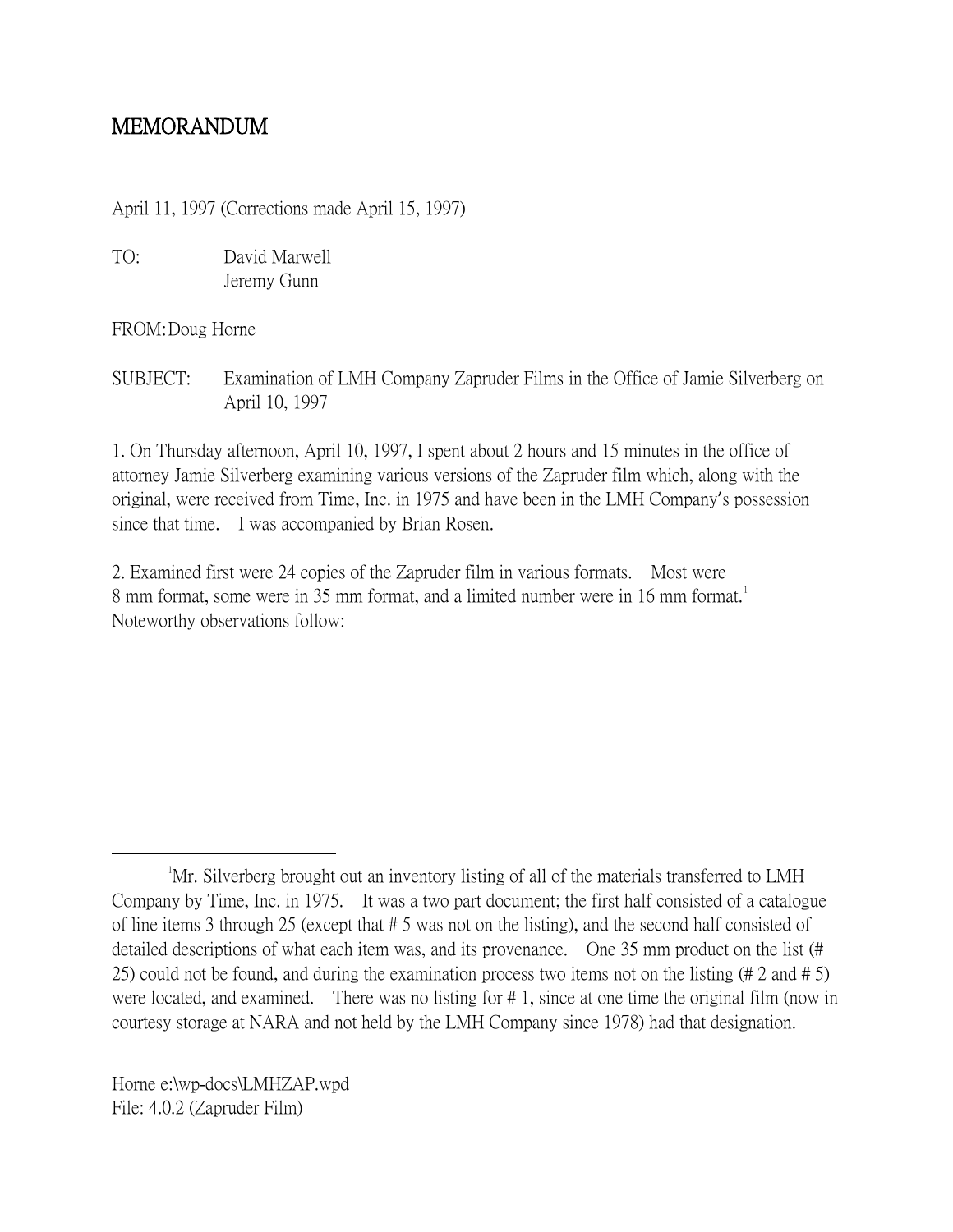## MEMORANDUM

April 11, 1997 (Corrections made April 15, 1997)

TO: David Marwell Jeremy Gunn

FROM:Doug Horne

SUBJECT: Examination of LMH Company Zapruder Films in the Office of Jamie Silverberg on April 10, 1997

1. On Thursday afternoon, April 10, 1997, I spent about 2 hours and 15 minutes in the office of attorney Jamie Silverberg examining various versions of the Zapruder film which, along with the original, were received from Time, Inc. in 1975 and have been in the LMH Company's possession since that time. I was accompanied by Brian Rosen.

2. Examined first were 24 copies of the Zapruder film in various formats. Most were 8 mm format, some were in 35 mm format, and a limited number were in [1](#page-0-0)6 mm format.<sup>1</sup> Noteworthy observations follow:

<span id="page-0-0"></span> $\overline{\phantom{a}}$ <sup>1</sup>Mr. Silverberg brought out an inventory listing of all of the materials transferred to LMH Company by Time, Inc. in 1975. It was a two part document; the first half consisted of a catalogue of line items 3 through 25 (except that # 5 was not on the listing), and the second half consisted of detailed descriptions of what each item was, and its provenance. One 35 mm product on the list (# 25) could not be found, and during the examination process two items not on the listing (# 2 and # 5) were located, and examined. There was no listing for # 1, since at one time the original film (now in courtesy storage at NARA and not held by the LMH Company since 1978) had that designation.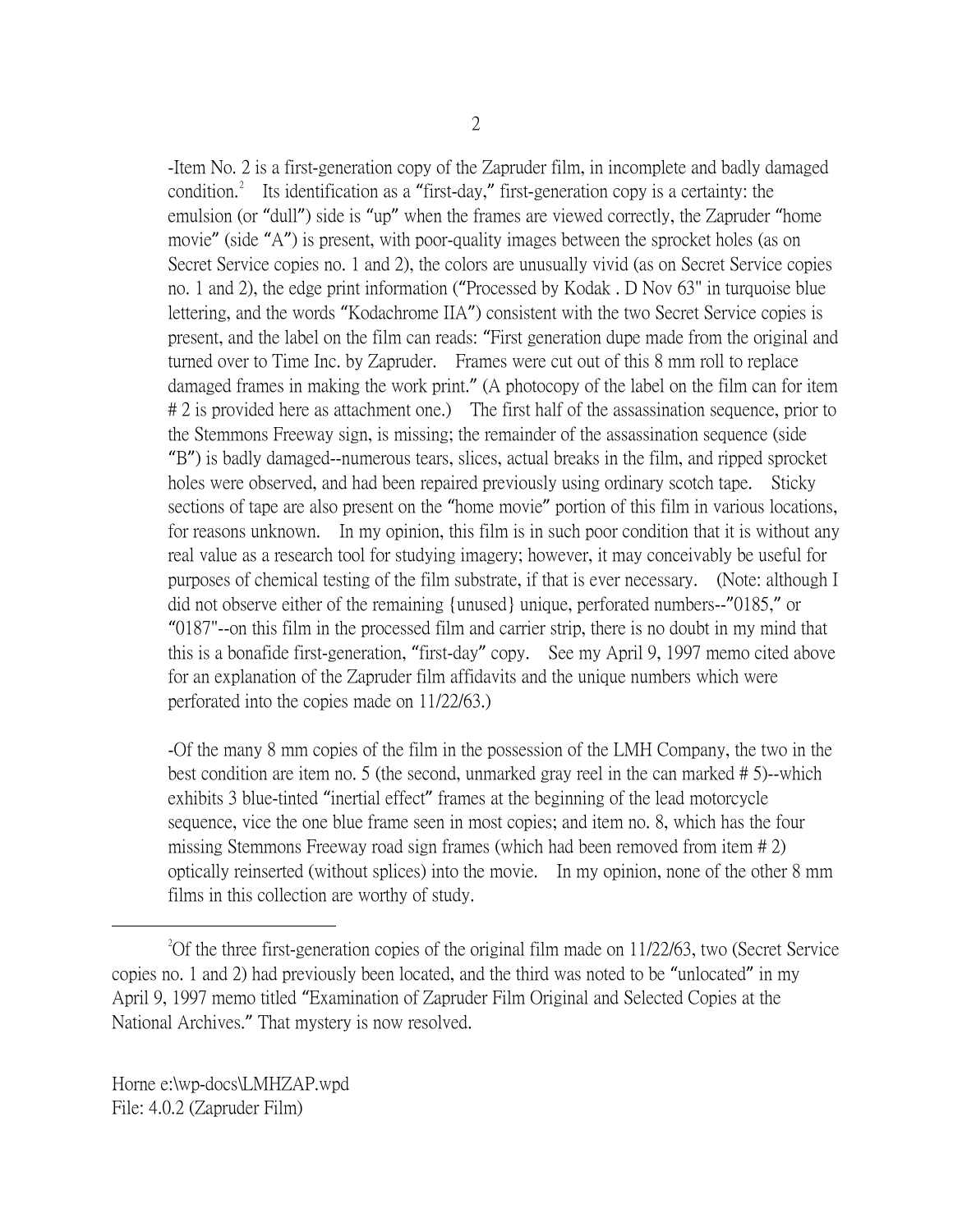-Item No. 2 is a first-generation copy of the Zapruder film, in incomplete and badly damaged condition.<sup>[2](#page-1-0)</sup> Its identification as a "first-day," first-generation copy is a certainty: the emulsion (or "dull") side is "up" when the frames are viewed correctly, the Zapruder "home movie" (side "A") is present, with poor-quality images between the sprocket holes (as on Secret Service copies no. 1 and 2), the colors are unusually vivid (as on Secret Service copies no. 1 and 2), the edge print information ("Processed by Kodak . D Nov 63" in turquoise blue lettering, and the words "Kodachrome IIA") consistent with the two Secret Service copies is present, and the label on the film can reads: "First generation dupe made from the original and turned over to Time Inc. by Zapruder. Frames were cut out of this 8 mm roll to replace damaged frames in making the work print." (A photocopy of the label on the film can for item # 2 is provided here as attachment one.) The first half of the assassination sequence, prior to the Stemmons Freeway sign, is missing; the remainder of the assassination sequence (side "B") is badly damaged--numerous tears, slices, actual breaks in the film, and ripped sprocket holes were observed, and had been repaired previously using ordinary scotch tape. Sticky sections of tape are also present on the "home movie" portion of this film in various locations, for reasons unknown. In my opinion, this film is in such poor condition that it is without any real value as a research tool for studying imagery; however, it may conceivably be useful for purposes of chemical testing of the film substrate, if that is ever necessary. (Note: although I did not observe either of the remaining {unused} unique, perforated numbers--"0185," or "0187"--on this film in the processed film and carrier strip, there is no doubt in my mind that this is a bonafide first-generation, "first-day" copy. See my April 9, 1997 memo cited above for an explanation of the Zapruder film affidavits and the unique numbers which were perforated into the copies made on 11/22/63.)

-Of the many 8 mm copies of the film in the possession of the LMH Company, the two in the best condition are item no. 5 (the second, unmarked gray reel in the can marked # 5)--which exhibits 3 blue-tinted "inertial effect" frames at the beginning of the lead motorcycle sequence, vice the one blue frame seen in most copies; and item no. 8, which has the four missing Stemmons Freeway road sign frames (which had been removed from item # 2) optically reinserted (without splices) into the movie. In my opinion, none of the other 8 mm films in this collection are worthy of study.

<span id="page-1-0"></span> $\overline{\phantom{a}}$  2 <sup>2</sup>Of the three first-generation copies of the original film made on  $11/22/63$ , two (Secret Service copies no. 1 and 2) had previously been located, and the third was noted to be "unlocated" in my April 9, 1997 memo titled "Examination of Zapruder Film Original and Selected Copies at the National Archives." That mystery is now resolved.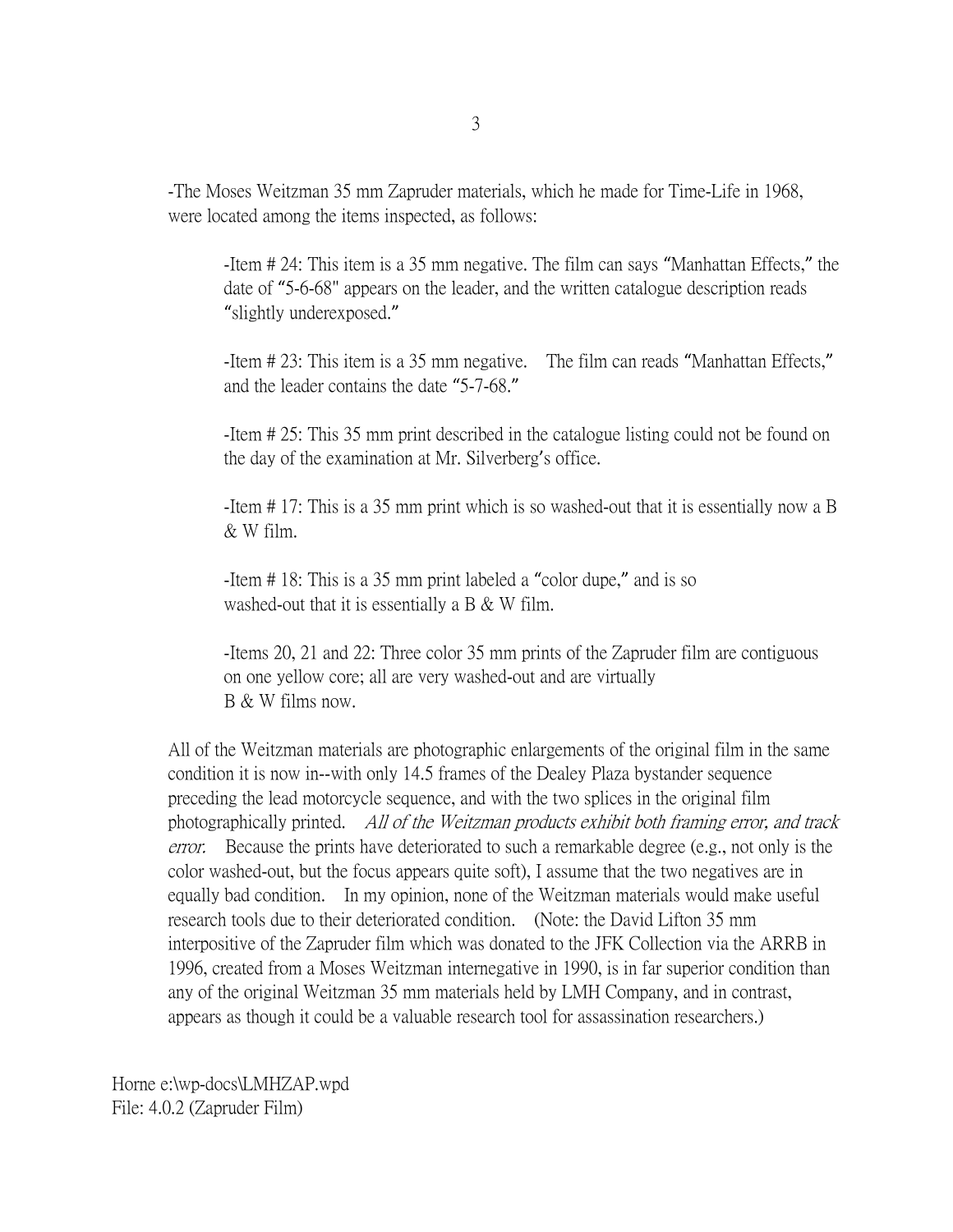-The Moses Weitzman 35 mm Zapruder materials, which he made for Time-Life in 1968, were located among the items inspected, as follows:

-Item # 24: This item is a 35 mm negative. The film can says "Manhattan Effects," the date of "5-6-68" appears on the leader, and the written catalogue description reads "slightly underexposed."

-Item # 23: This item is a 35 mm negative. The film can reads "Manhattan Effects," and the leader contains the date "5-7-68."

-Item # 25: This 35 mm print described in the catalogue listing could not be found on the day of the examination at Mr. Silverberg's office.

-Item # 17: This is a 35 mm print which is so washed-out that it is essentially now a B & W film.

-Item # 18: This is a 35 mm print labeled a "color dupe," and is so washed-out that it is essentially a B  $&$  W film.

-Items 20, 21 and 22: Three color 35 mm prints of the Zapruder film are contiguous on one yellow core; all are very washed-out and are virtually B & W films now.

All of the Weitzman materials are photographic enlargements of the original film in the same condition it is now in--with only 14.5 frames of the Dealey Plaza bystander sequence preceding the lead motorcycle sequence, and with the two splices in the original film photographically printed. All of the Weitzman products exhibit both framing error, and track error. Because the prints have deteriorated to such a remarkable degree (e.g., not only is the color washed-out, but the focus appears quite soft), I assume that the two negatives are in equally bad condition. In my opinion, none of the Weitzman materials would make useful research tools due to their deteriorated condition. (Note: the David Lifton 35 mm interpositive of the Zapruder film which was donated to the JFK Collection via the ARRB in 1996, created from a Moses Weitzman internegative in 1990, is in far superior condition than any of the original Weitzman 35 mm materials held by LMH Company, and in contrast, appears as though it could be a valuable research tool for assassination researchers.)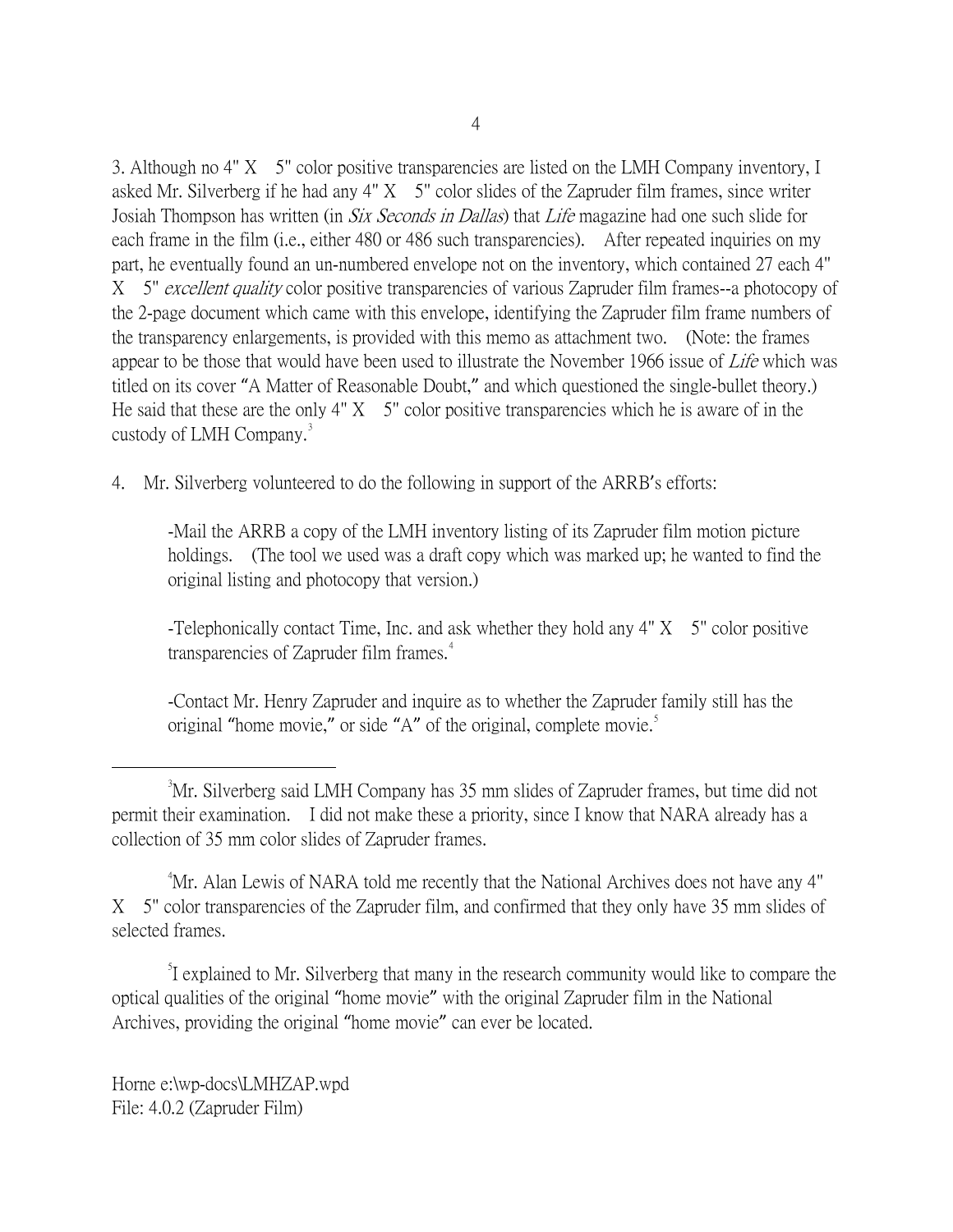3. Although no 4" X 5" color positive transparencies are listed on the LMH Company inventory, I asked Mr. Silverberg if he had any  $4'' X$  5" color slides of the Zapruder film frames, since writer Josiah Thompson has written (in *Six Seconds in Dallas*) that *Life* magazine had one such slide for each frame in the film (i.e., either 480 or 486 such transparencies). After repeated inquiries on my part, he eventually found an un-numbered envelope not on the inventory, which contained 27 each 4" X 5" excellent quality color positive transparencies of various Zapruder film frames--a photocopy of the 2-page document which came with this envelope, identifying the Zapruder film frame numbers of the transparency enlargements, is provided with this memo as attachment two. (Note: the frames appear to be those that would have been used to illustrate the November 1966 issue of Life which was titled on its cover "A Matter of Reasonable Doubt," and which questioned the single-bullet theory.) He said that these are the only  $4'' X$  5" color positive transparencies which he is aware of in the custody of LMH Company.<sup>[3](#page-3-0)</sup>

4. Mr. Silverberg volunteered to do the following in support of the ARRB's efforts:

-Mail the ARRB a copy of the LMH inventory listing of its Zapruder film motion picture holdings. (The tool we used was a draft copy which was marked up; he wanted to find the original listing and photocopy that version.)

-Telephonically contact Time, Inc. and ask whether they hold any  $4'' X$  5" color positive transparencies of Zapruder film frames.<sup>[4](#page-3-1)</sup>

-Contact Mr. Henry Zapruder and inquire as to whether the Zapruder family still has the original "home movie," or side "A" of the original, complete movie.<sup>[5](#page-3-2)</sup>

<span id="page-3-1"></span>4 Mr. Alan Lewis of NARA told me recently that the National Archives does not have any 4" X 5" color transparencies of the Zapruder film, and confirmed that they only have 35 mm slides of selected frames.

<span id="page-3-2"></span><sup>5</sup>I explained to Mr. Silverberg that many in the research community would like to compare the optical qualities of the original "home movie" with the original Zapruder film in the National Archives, providing the original "home movie" can ever be located.

<span id="page-3-0"></span> $\frac{1}{3}$ <sup>3</sup>Mr. Silverberg said LMH Company has 35 mm slides of Zapruder frames, but time did not permit their examination. I did not make these a priority, since I know that NARA already has a collection of 35 mm color slides of Zapruder frames.